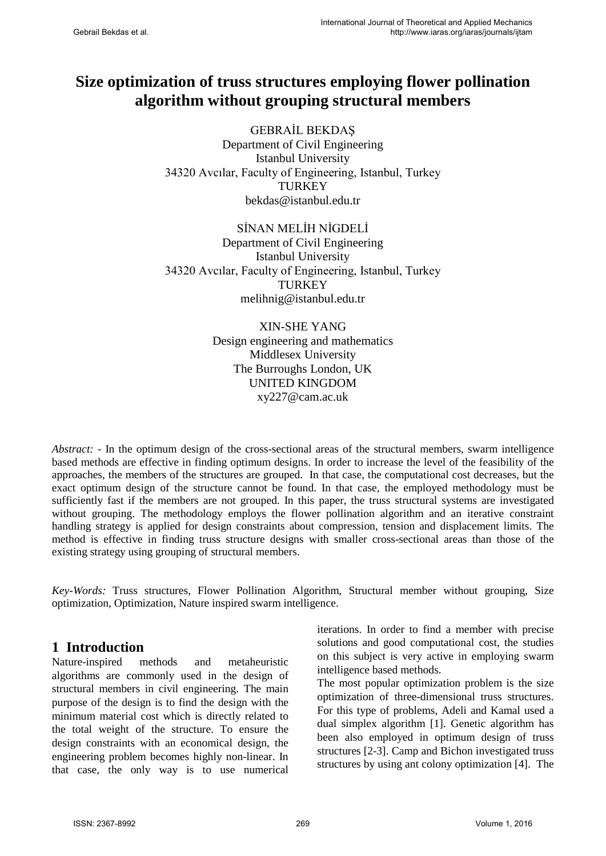# **Size optimization of truss structures employing flower pollination algorithm without grouping structural members**

GEBRAİL BEKDAŞ Department of Civil Engineering Istanbul University 34320 Avcılar, Faculty of Engineering, Istanbul, Turkey TURKEY bekdas@istanbul.edu.tr

SİNAN MELİH NİGDELİ Department of Civil Engineering Istanbul University 34320 Avcılar, Faculty of Engineering, Istanbul, Turkey **TURKEY** melihnig@istanbul.edu.tr

> XIN-SHE YANG Design engineering and mathematics Middlesex University The Burroughs London, UK UNITED KINGDOM xy227@cam.ac.uk

*Abstract:* - In the optimum design of the cross-sectional areas of the structural members, swarm intelligence based methods are effective in finding optimum designs. In order to increase the level of the feasibility of the approaches, the members of the structures are grouped. In that case, the computational cost decreases, but the exact optimum design of the structure cannot be found. In that case, the employed methodology must be sufficiently fast if the members are not grouped. In this paper, the truss structural systems are investigated without grouping. The methodology employs the flower pollination algorithm and an iterative constraint handling strategy is applied for design constraints about compression, tension and displacement limits. The method is effective in finding truss structure designs with smaller cross-sectional areas than those of the existing strategy using grouping of structural members.

*Key-Words:* Truss structures, Flower Pollination Algorithm, Structural member without grouping, Size optimization, Optimization, Nature inspired swarm intelligence.

# **1 Introduction**

Nature-inspired methods and metaheuristic algorithms are commonly used in the design of structural members in civil engineering. The main purpose of the design is to find the design with the minimum material cost which is directly related to the total weight of the structure. To ensure the design constraints with an economical design, the engineering problem becomes highly non-linear. In that case, the only way is to use numerical iterations. In order to find a member with precise solutions and good computational cost, the studies on this subject is very active in employing swarm intelligence based methods.

The most popular optimization problem is the size optimization of three-dimensional truss structures. For this type of problems, Adeli and Kamal used a dual simplex algorithm [1]. Genetic algorithm has been also employed in optimum design of truss structures [2-3]. Camp and Bichon investigated truss structures by using ant colony optimization [4]. The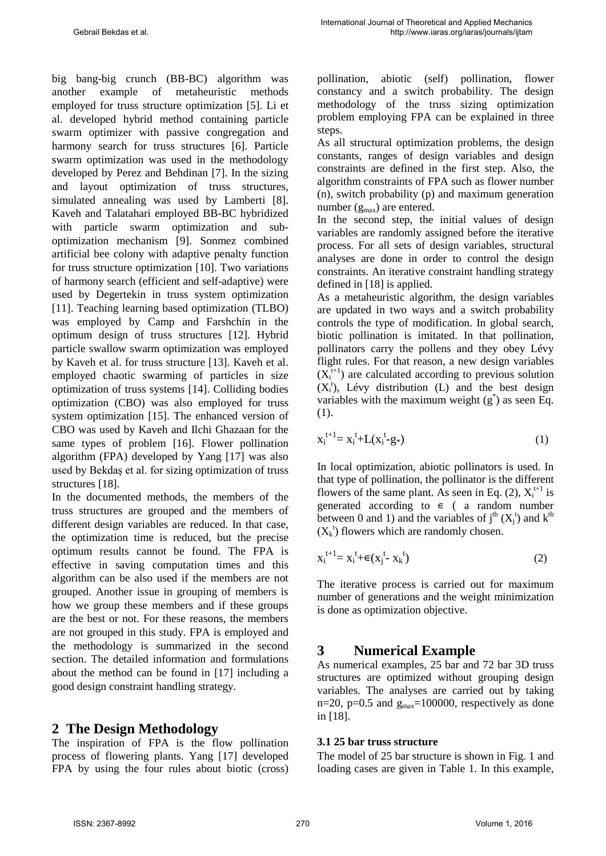big bang-big crunch (BB-BC) algorithm was another example of metaheuristic methods employed for truss structure optimization [5]. Li et al. developed hybrid method containing particle swarm optimizer with passive congregation and harmony search for truss structures [6]. Particle swarm optimization was used in the methodology developed by Perez and Behdinan [7]. In the sizing and layout optimization of truss structures, simulated annealing was used by Lamberti [8]. Kaveh and Talatahari employed BB-BC hybridized with particle swarm optimization and suboptimization mechanism [9]. Sonmez combined artificial bee colony with adaptive penalty function for truss structure optimization [10]. Two variations of harmony search (efficient and self-adaptive) were used by Degertekin in truss system optimization [11]. Teaching learning based optimization (TLBO) was employed by Camp and Farshchin in the optimum design of truss structures [12]. Hybrid particle swallow swarm optimization was employed by Kaveh et al. for truss structure [13]. Kaveh et al. employed chaotic swarming of particles in size optimization of truss systems [14]. Colliding bodies optimization (CBO) was also employed for truss system optimization [15]. The enhanced version of CBO was used by Kaveh and Ilchi Ghazaan for the same types of problem [16]. Flower pollination algorithm (FPA) developed by Yang [17] was also used by Bekdaş et al. for sizing optimization of truss structures [18].

In the documented methods, the members of the truss structures are grouped and the members of different design variables are reduced. In that case, the optimization time is reduced, but the precise optimum results cannot be found. The FPA is effective in saving computation times and this algorithm can be also used if the members are not grouped. Another issue in grouping of members is how we group these members and if these groups are the best or not. For these reasons, the members are not grouped in this study. FPA is employed and the methodology is summarized in the second section. The detailed information and formulations about the method can be found in [17] including a good design constraint handling strategy.

# **2 The Design Methodology**

The inspiration of FPA is the flow pollination process of flowering plants. Yang [17] developed FPA by using the four rules about biotic (cross) pollination, abiotic (self) pollination, flower constancy and a switch probability. The design methodology of the truss sizing optimization problem employing FPA can be explained in three steps.

As all structural optimization problems, the design constants, ranges of design variables and design constraints are defined in the first step. Also, the algorithm constraints of FPA such as flower number (n), switch probability (p) and maximum generation number  $(g<sub>max</sub>)$  are entered.

In the second step, the initial values of design variables are randomly assigned before the iterative process. For all sets of design variables, structural analyses are done in order to control the design constraints. An iterative constraint handling strategy defined in [18] is applied.

As a metaheuristic algorithm, the design variables are updated in two ways and a switch probability controls the type of modification. In global search, biotic pollination is imitated. In that pollination, pollinators carry the pollens and they obey Lévy flight rules. For that reason, a new design variables  $(X<sub>i</sub><sup>t+1</sup>)$  are calculated according to previous solution  $(X_i^t)$ , Lévy distribution (L) and the best design variables with the maximum weight  $(g^*)$  as seen Eq. (1).

$$
x_i^{t+1} = x_i^t + L(x_i^t - g_*)
$$
 (1)

In local optimization, abiotic pollinators is used. In that type of pollination, the pollinator is the different flowers of the same plant. As seen in Eq. (2),  $X_i^{t+1}$  is generated according to ∊ ( a random number between 0 and 1) and the variables of  $j<sup>th</sup>$  (X<sub>j</sub><sup>t</sup>) and k<sup>th</sup>  $(X_k^t)$  flowers which are randomly chosen.

$$
x_i^{t+1} = x_i^t + \epsilon (x_j^t - x_k^t) \tag{2}
$$

The iterative process is carried out for maximum number of generations and the weight minimization is done as optimization objective.

# **3 Numerical Example**

As numerical examples, 25 bar and 72 bar 3D truss structures are optimized without grouping design variables. The analyses are carried out by taking  $n=20$ ,  $p=0.5$  and  $g_{max}=100000$ , respectively as done in [18].

### **3.1 25 bar truss structure**

The model of 25 bar structure is shown in Fig. 1 and loading cases are given in Table 1. In this example,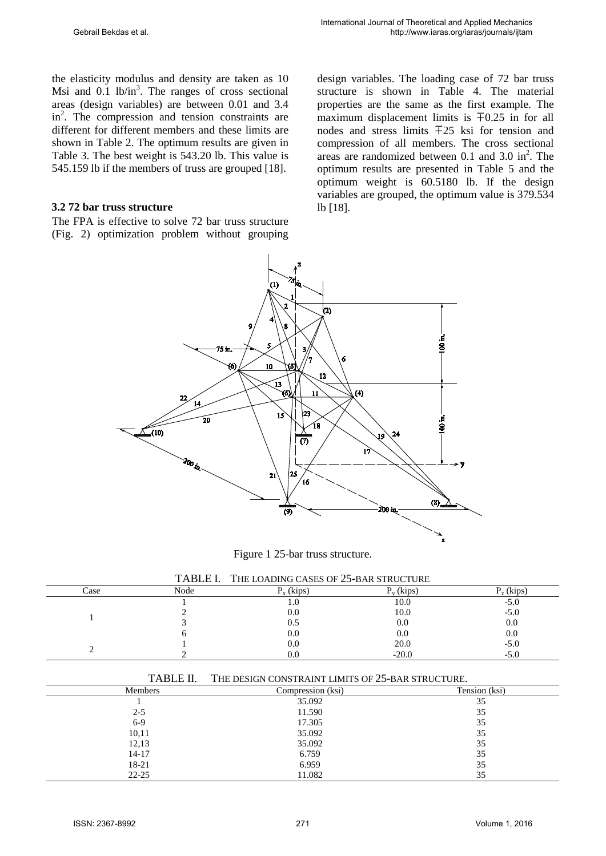the elasticity modulus and density are taken as 10 Msi and  $0.1$  lb/in<sup>3</sup>. The ranges of cross sectional areas (design variables) are between 0.01 and 3.4 in<sup>2</sup>. The compression and tension constraints are different for different members and these limits are shown in Table 2. The optimum results are given in Table 3. The best weight is 543.20 lb. This value is 545.159 lb if the members of truss are grouped [18].

#### **3.2 72 bar truss structure**

The FPA is effective to solve 72 bar truss structure (Fig. 2) optimization problem without grouping design variables. The loading case of 72 bar truss structure is shown in Table 4. The material properties are the same as the first example. The maximum displacement limits is ∓0.25 in for all nodes and stress limits ∓25 ksi for tension and compression of all members. The cross sectional areas are randomized between  $0.1$  and  $3.0$  in<sup>2</sup>. The optimum results are presented in Table 5 and the optimum weight is 60.5180 lb. If the design variables are grouped, the optimum value is 379.534 lb [18].



Figure 1 25-bar truss structure.

|  | TABLE I. THE LOADING CASES OF 25-BAR STRUCTURE |
|--|------------------------------------------------|
|--|------------------------------------------------|

| Case | Node | (kips) | $_{\rm v}$ (kips) | $\mathcal{L}_7$ (kips) |
|------|------|--------|-------------------|------------------------|
|      |      | 1.U    | 10.0              | $-5.0$                 |
|      |      | 0.0    | 10.0              | $-5.0$                 |
|      |      | U.S    | 0.0               | 0.0                    |
|      |      | 0.0    | 0.0               | 0.0                    |
|      |      | 0.0    | 20.0              | $-5.0$                 |
|      |      | 0.0    | $-20.0$           | $-5.0$                 |

| TABLE II.      | THE DESIGN CONSTRAINT LIMITS OF 25-BAR STRUCTURE. |               |
|----------------|---------------------------------------------------|---------------|
| <b>Members</b> | Compression (ksi)                                 | Tension (ksi) |
|                | 35.092                                            | 35            |
| $2 - 5$        | 11.590                                            | 35            |
| $6-9$          | 17.305                                            | 35            |
| 10,11          | 35.092                                            | 35            |
| 12,13          | 35.092                                            | 35            |
| $14 - 17$      | 6.759                                             | 35            |
| 18-21          | 6.959                                             | 35            |
| $22 - 25$      | 11.082                                            | 35            |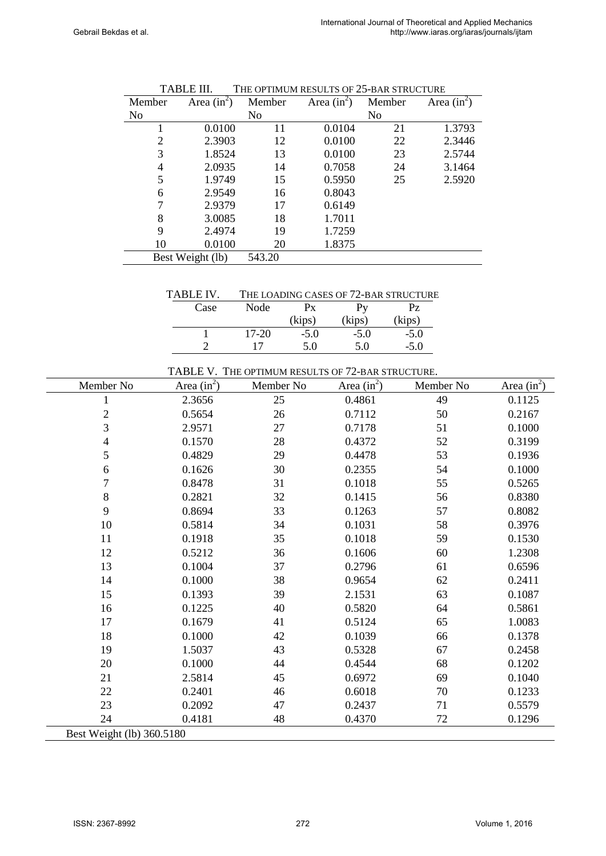| Member           | Area $(in^2)$  | Member | Area $(in^2)$ | Member | Area $(in^2)$ |
|------------------|----------------|--------|---------------|--------|---------------|
| No               | N <sub>0</sub> |        |               | No     |               |
|                  | 0.0100         | 11     | 0.0104        | 21     | 1.3793        |
| 2                | 2.3903         | 12     | 0.0100        | 22     | 2.3446        |
| 3                | 1.8524         | 13     | 0.0100        | 23     | 2.5744        |
| 4                | 2.0935         | 14     | 0.7058        | 24     | 3.1464        |
| 5                | 1.9749         | 15     | 0.5950        | 25     | 2.5920        |
| 6                | 2.9549         | 16     | 0.8043        |        |               |
| 7                | 2.9379         | 17     | 0.6149        |        |               |
| 8                | 3.0085         | 18     | 1.7011        |        |               |
| 9                | 2.4974         | 19     | 1.7259        |        |               |
| 10               | 0.0100         | 20     | 1.8375        |        |               |
| Best Weight (lb) |                | 543.20 |               |        |               |

| <b>TABLE III.</b> | THE OPTIMUM RESULTS OF 25-BAR STRUCTURE |
|-------------------|-----------------------------------------|
|-------------------|-----------------------------------------|

TABLE IV. THE LOADING CASES OF 72-BAR STRUCTURE

| Case | Node  | $P_{V}$<br>Рx |        | PZ     |
|------|-------|---------------|--------|--------|
|      |       | (kips)        | (kips) | (kips) |
|      | 17-20 | $-5.0$        | $-5.0$ | $-5.0$ |
|      | 17    | 5.0           | 5.0    | $-5.0$ |

TABLE V. THE OPTIMUM RESULTS OF 72-BAR STRUCTURE.

| Member No                 | $Area (in^2)$ | Member No | $Area (in^2)$ | Member No | Area $(in^2)$ |
|---------------------------|---------------|-----------|---------------|-----------|---------------|
| 1                         | 2.3656        | 25        | 0.4861        | 49        | 0.1125        |
| $\overline{2}$            | 0.5654        | 26        | 0.7112        | 50        | 0.2167        |
| 3                         | 2.9571        | 27        | 0.7178        | 51        | 0.1000        |
| $\overline{4}$            | 0.1570        | 28        | 0.4372        | 52        | 0.3199        |
| 5                         | 0.4829        | 29        | 0.4478        | 53        | 0.1936        |
| 6                         | 0.1626        | 30        | 0.2355        | 54        | 0.1000        |
| 7                         | 0.8478        | 31        | 0.1018        | 55        | 0.5265        |
| $\, 8$                    | 0.2821        | 32        | 0.1415        | 56        | 0.8380        |
| 9                         | 0.8694        | 33        | 0.1263        | 57        | 0.8082        |
| 10                        | 0.5814        | 34        | 0.1031        | 58        | 0.3976        |
| 11                        | 0.1918        | 35        | 0.1018        | 59        | 0.1530        |
| 12                        | 0.5212        | 36        | 0.1606        | 60        | 1.2308        |
| 13                        | 0.1004        | 37        | 0.2796        | 61        | 0.6596        |
| 14                        | 0.1000        | 38        | 0.9654        | 62        | 0.2411        |
| 15                        | 0.1393        | 39        | 2.1531        | 63        | 0.1087        |
| 16                        | 0.1225        | 40        | 0.5820        | 64        | 0.5861        |
| 17                        | 0.1679        | 41        | 0.5124        | 65        | 1.0083        |
| 18                        | 0.1000        | 42        | 0.1039        | 66        | 0.1378        |
| 19                        | 1.5037        | 43        | 0.5328        | 67        | 0.2458        |
| 20                        | 0.1000        | 44        | 0.4544        | 68        | 0.1202        |
| 21                        | 2.5814        | 45        | 0.6972        | 69        | 0.1040        |
| 22                        | 0.2401        | 46        | 0.6018        | $70\,$    | 0.1233        |
| 23                        | 0.2092        | 47        | 0.2437        | 71        | 0.5579        |
| 24                        | 0.4181        | 48        | 0.4370        | 72        | 0.1296        |
| Best Weight (lb) 360.5180 |               |           |               |           |               |